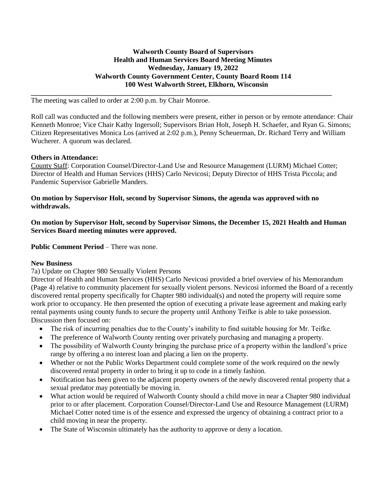### **Walworth County Board of Supervisors Health and Human Services Board Meeting Minutes Wednesday, January 19, 2022 Walworth County Government Center, County Board Room 114 100 West Walworth Street, Elkhorn, Wisconsin**

**\_\_\_\_\_\_\_\_\_\_\_\_\_\_\_\_\_\_\_\_\_\_\_\_\_\_\_\_\_\_\_\_\_\_\_\_\_\_\_\_\_\_\_\_\_\_\_\_\_\_\_\_\_\_\_\_\_\_\_\_\_\_\_\_\_\_\_\_\_\_\_\_\_\_\_\_\_\_\_\_\_\_\_\_\_**

The meeting was called to order at 2:00 p.m. by Chair Monroe.

Roll call was conducted and the following members were present, either in person or by remote attendance: Chair Kenneth Monroe; Vice Chair Kathy Ingersoll; Supervisors Brian Holt, Joseph H. Schaefer, and Ryan G. Simons; Citizen Representatives Monica Los (arrived at 2:02 p.m.), Penny Scheuerman, Dr. Richard Terry and William Wucherer. A quorum was declared.

#### **Others in Attendance:**

County Staff: Corporation Counsel/Director-Land Use and Resource Management (LURM) Michael Cotter; Director of Health and Human Services (HHS) Carlo Nevicosi; Deputy Director of HHS Trista Piccola; and Pandemic Supervisor Gabrielle Manders.

### **On motion by Supervisor Holt, second by Supervisor Simons, the agenda was approved with no withdrawals.**

**On motion by Supervisor Holt, second by Supervisor Simons, the December 15, 2021 Health and Human Services Board meeting minutes were approved.** 

**Public Comment Period – There was none.** 

#### **New Business**

7a) Update on Chapter 980 Sexually Violent Persons

Director of Health and Human Services (HHS) Carlo Nevicosi provided a brief overview of his Memorandum (Page 4) relative to community placement for sexually violent persons. Nevicosi informed the Board of a recently discovered rental property specifically for Chapter 980 individual(s) and noted the property will require some work prior to occupancy. He then presented the option of executing a private lease agreement and making early rental payments using county funds to secure the property until Anthony Teifke is able to take possession. Discussion then focused on:

- The risk of incurring penalties due to the County's inability to find suitable housing for Mr. Teifke.
- The preference of Walworth County renting over privately purchasing and managing a property.
- The possibility of Walworth County bringing the purchase price of a property within the landlord's price range by offering a no interest loan and placing a lien on the property.
- Whether or not the Public Works Department could complete some of the work required on the newly discovered rental property in order to bring it up to code in a timely fashion.
- Notification has been given to the adjacent property owners of the newly discovered rental property that a sexual predator may potentially be moving in.
- What action would be required of Walworth County should a child move in near a Chapter 980 individual prior to or after placement. Corporation Counsel/Director-Land Use and Resource Management (LURM) Michael Cotter noted time is of the essence and expressed the urgency of obtaining a contract prior to a child moving in near the property.
- The State of Wisconsin ultimately has the authority to approve or deny a location.